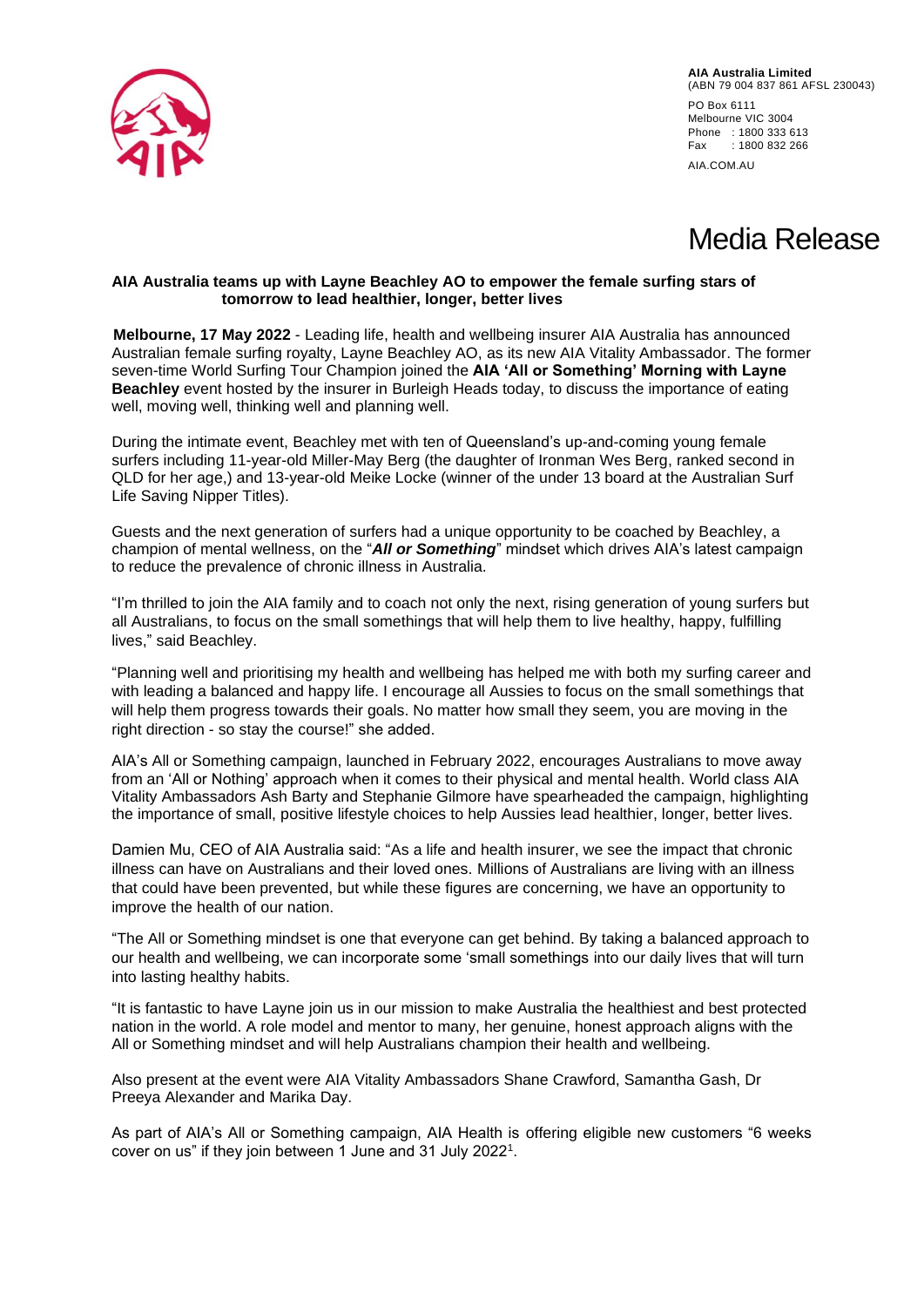

**AIA Australia Limited** (ABN 79 004 837 861 AFSL 230043) PO Box 6111 Melbourne VIC 3004 Phone : 1800 333 613 Fax : 1800 832 266 AIA.COM.AU

# Media Release

## **AIA Australia teams up with Layne Beachley AO to empower the female surfing stars of tomorrow to lead healthier, longer, better lives**

**Melbourne, 17 May 2022** - Leading life, health and wellbeing insurer AIA Australia has announced Australian female surfing royalty, Layne Beachley AO, as its new AIA Vitality Ambassador. The former seven-time World Surfing Tour Champion joined the **AIA 'All or Something' Morning with Layne Beachley** event hosted by the insurer in Burleigh Heads today, to discuss the importance of eating well, moving well, thinking well and planning well.

During the intimate event, Beachley met with ten of Queensland's up-and-coming young female surfers including 11-year-old Miller-May Berg (the daughter of Ironman Wes Berg, ranked second in QLD for her age,) and 13-year-old Meike Locke (winner of the under 13 board at the Australian Surf Life Saving Nipper Titles).

Guests and the next generation of surfers had a unique opportunity to be coached by Beachley, a champion of mental wellness, on the "*All or Something*" mindset which drives AIA's latest campaign to reduce the prevalence of chronic illness in Australia.

"I'm thrilled to join the AIA family and to coach not only the next, rising generation of young surfers but all Australians, to focus on the small somethings that will help them to live healthy, happy, fulfilling lives," said Beachley.

"Planning well and prioritising my health and wellbeing has helped me with both my surfing career and with leading a balanced and happy life. I encourage all Aussies to focus on the small somethings that will help them progress towards their goals. No matter how small they seem, you are moving in the right direction - so stay the course!" she added.

AIA's All or Something campaign, launched in February 2022, encourages Australians to move away from an 'All or Nothing' approach when it comes to their physical and mental health. World class AIA Vitality Ambassadors Ash Barty and Stephanie Gilmore have spearheaded the campaign, highlighting the importance of small, positive lifestyle choices to help Aussies lead healthier, longer, better lives.

Damien Mu, CEO of AIA Australia said: "As a life and health insurer, we see the impact that chronic illness can have on Australians and their loved ones. Millions of Australians are living with an illness that could have been prevented, but while these figures are concerning, we have an opportunity to improve the health of our nation.

"The All or Something mindset is one that everyone can get behind. By taking a balanced approach to our health and wellbeing, we can incorporate some 'small somethings into our daily lives that will turn into lasting healthy habits.

"It is fantastic to have Layne join us in our mission to make Australia the healthiest and best protected nation in the world. A role model and mentor to many, her genuine, honest approach aligns with the All or Something mindset and will help Australians champion their health and wellbeing.

Also present at the event were AIA Vitality Ambassadors Shane Crawford, Samantha Gash, Dr Preeya Alexander and Marika Day.

As part of AIA's All or Something campaign, AIA Health is offering eligible new customers "6 weeks cover on us" if they join between 1 June and 31 July 2022<sup>1</sup> .